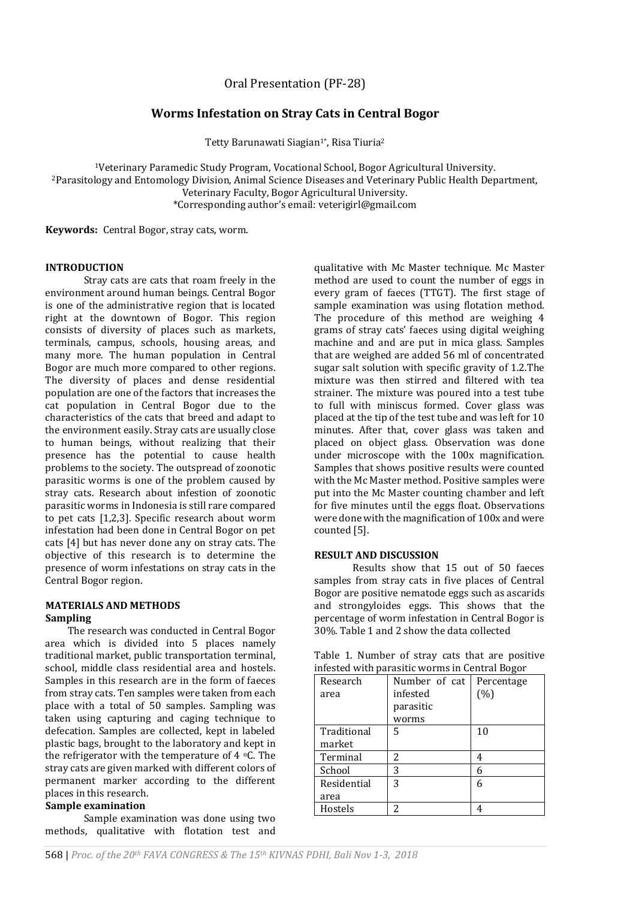# **Worms Infestation on Stray Cats in Central Bogor**

Tetty Barunawati Siagian<sup>1\*</sup>, Risa Tiuria<sup>2</sup>

<sup>1</sup>Veterinary Paramedic Study Program, Vocational School, Bogor Agricultural University. <sup>2</sup>Parasitology and Entomology Division, Animal Science Diseases and Veterinary Public Health Department, Veterinary Faculty, Bogor Agricultural University. \*Corresponding author's email: veterigirl@gmail.com

**Keywords:** Central Bogor, stray cats, worm.

#### **INTRODUCTION**

Stray cats are cats that roam freely in the environment around human beings. Central Bogor is one of the administrative region that is located right at the downtown of Bogor. This region consists of diversity of places such as markets, terminals, campus, schools, housing areas, and many more. The human population in Central Bogor are much more compared to other regions. The diversity of places and dense residential population are one of the factors that increases the cat population in Central Bogor due to the characteristics of the cats that breed and adapt to the environment easily. Stray cats are usually close to human beings, without realizing that their presence has the potential to cause health problems to the society. The outspread of zoonotic parasitic worms is one of the problem caused by stray cats. Research about infestion of zoonotic parasitic worms in Indonesia is still rare compared to pet cats [1,2,3]. Specific research about worm infestation had been done in Central Bogor on pet cats [4] but has never done any on stray cats. The objective of this research is to determine the presence of worm infestations on stray cats in the Central Bogor region.

### **MATERIALS AND METHODS Sampling**

The research was conducted in Central Bogor area which is divided into 5 places namely traditional market, public transportation terminal, school, middle class residential area and hostels. Samples in this research are in the form of faeces from stray cats. Ten samples were taken from each place with a total of 50 samples. Sampling was taken using capturing and caging technique to defecation. Samples are collected, kept in labeled plastic bags, brought to the laboratory and kept in the refrigerator with the temperature of  $4 \degree C$ . The stray cats are given marked with different colors of permanent marker according to the different places in this research.

#### **Sample examination**

Sample examination was done using two methods, qualitative with flotation test and

qualitative with Mc Master technique. Mc Master method are used to count the number of eggs in every gram of faeces (TTGT). The first stage of sample examination was using flotation method. The procedure of this method are weighing 4 grams of stray cats' faeces using digital weighing machine and and are put in mica glass. Samples that are weighed are added 56 ml of concentrated sugar salt solution with specific gravity of 1.2.The mixture was then stirred and filtered with tea strainer. The mixture was poured into a test tube to full with miniscus formed. Cover glass was placed at the tip of the test tube and was left for 10 minutes. After that, cover glass was taken and placed on object glass. Observation was done under microscope with the 100x magnification. Samples that shows positive results were counted with the Mc Master method. Positive samples were put into the Mc Master counting chamber and left for five minutes until the eggs float. Observations were done with the magnification of 100x and were counted [5].

# **RESULT AND DISCUSSION**

Results show that 15 out of 50 faeces samples from stray cats in five places of Central Bogor are positive nematode eggs such as ascarids and strongyloides eggs. This shows that the percentage of worm infestation in Central Bogor is 30%. Table 1 and 2 show the data collected

|  | Table 1. Number of stray cats that are positive |  |  |  |
|--|-------------------------------------------------|--|--|--|
|  | infested with parasitic worms in Central Bogor  |  |  |  |

| Research    | Number of cat | Percentage |
|-------------|---------------|------------|
| area        | infested      | (%)        |
|             | parasitic     |            |
|             | worms         |            |
| Traditional | 5             | 10         |
| market      |               |            |
| Terminal    | 2             | 4          |
| School      | 3             | 6          |
| Residential | 3             |            |
| area        |               |            |
| Hostels     | 2             |            |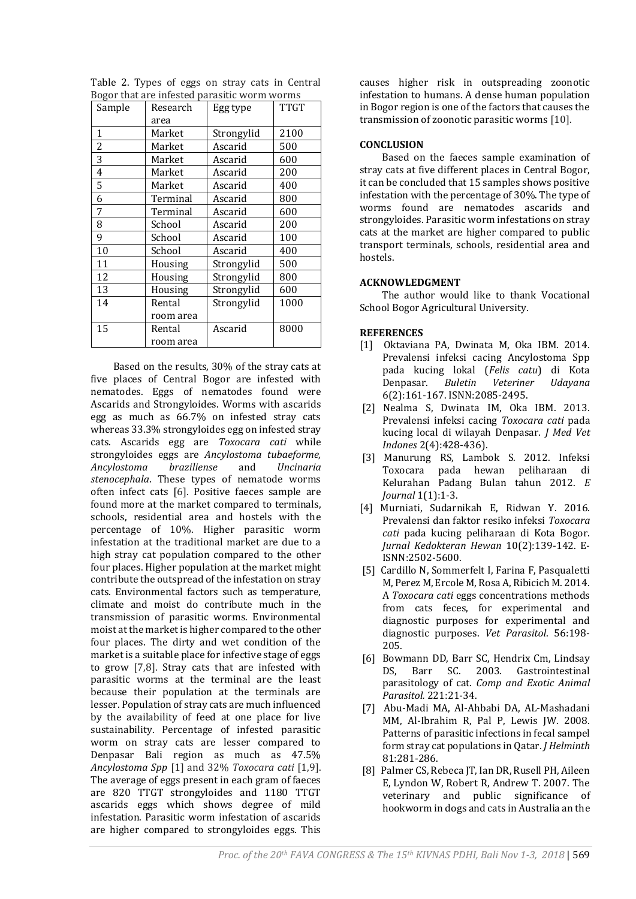| Sample | Research  | Egg type   | <b>TTGT</b> |
|--------|-----------|------------|-------------|
|        | area      |            |             |
| 1      | Market    | Strongylid | 2100        |
| 2      | Market    | Ascarid    | 500         |
| 3      | Market    | Ascarid    | 600         |
| 4      | Market    | Ascarid    | 200         |
| 5      | Market    | Ascarid    | 400         |
| 6      | Terminal  | Ascarid    | 800         |
| 7      | Terminal  | Ascarid    | 600         |
| 8      | School    | Ascarid    | 200         |
| 9      | School    | Ascarid    | 100         |
| 10     | School    | Ascarid    | 400         |
| 11     | Housing   | Strongylid | 500         |
| 12     | Housing   | Strongylid | 800         |
| 13     | Housing   | Strongylid | 600         |
| 14     | Rental    | Strongylid | 1000        |
|        | room area |            |             |
| 15     | Rental    | Ascarid    | 8000        |
|        | room area |            |             |

Table 2. Types of eggs on stray cats in Central Bogor that are infested parasitic worm worms

Based on the results, 30% of the stray cats at five places of Central Bogor are infested with nematodes. Eggs of nematodes found were Ascarids and Strongyloides. Worms with ascarids egg as much as 66.7% on infested stray cats whereas 33.3% strongyloides egg on infested stray cats. Ascarids egg are *Toxocara cati* while strongyloides eggs are *Ancylostoma tubaeforme, Ancylostoma braziliense* and *Uncinaria stenocephala*. These types of nematode worms often infect cats [6]. Positive faeces sample are found more at the market compared to terminals, schools, residential area and hostels with the percentage of 10%. Higher parasitic worm infestation at the traditional market are due to a high stray cat population compared to the other four places. Higher population at the market might contribute the outspread of the infestation on stray cats. Environmental factors such as temperature, climate and moist do contribute much in the transmission of parasitic worms. Environmental moist at the market is higher compared to the other four places. The dirty and wet condition of the market is a suitable place for infective stage of eggs to grow [7,8]. Stray cats that are infested with parasitic worms at the terminal are the least because their population at the terminals are lesser. Population of stray cats are much influenced by the availability of feed at one place for live sustainability. Percentage of infested parasitic worm on stray cats are lesser compared to Denpasar Bali region as much as 47.5% *Ancylostoma Spp* [1] and 32% *Toxocara cati* [1,9]. The average of eggs present in each gram of faeces are 820 TTGT strongyloides and 1180 TTGT ascarids eggs which shows degree of mild infestation. Parasitic worm infestation of ascarids are higher compared to strongyloides eggs. This

causes higher risk in outspreading zoonotic infestation to humans. A dense human population in Bogor region is one of the factors that causes the transmission of zoonotic parasitic worms [10].

# **CONCLUSION**

Based on the faeces sample examination of stray cats at five different places in Central Bogor, it can be concluded that 15 samples shows positive infestation with the percentage of 30%. The type of worms found are nematodes ascarids and strongyloides. Parasitic worm infestations on stray cats at the market are higher compared to public transport terminals, schools, residential area and hostels.

### **ACKNOWLEDGMENT**

The author would like to thank Vocational School Bogor Agricultural University.

### **REFERENCES**

- [1] Oktaviana PA, Dwinata M, Oka IBM. 2014. Prevalensi infeksi cacing Ancylostoma Spp pada kucing lokal (*Felis catu*) di Kota Denpasar. *Buletin Veteriner Udayana* 6(2):161-167. ISNN:2085-2495.
- [2] Nealma S, Dwinata IM, Oka IBM. 2013. Prevalensi infeksi cacing *Toxocara cati* pada kucing local di wilayah Denpasar. *J Med Vet Indones* 2(4):428-436).
- [3] Manurung RS, Lambok S. 2012. Infeksi Toxocara pada hewan peliharaan di Kelurahan Padang Bulan tahun 2012. *E Journal* 1(1):1-3.
- [4] Murniati, Sudarnikah E, Ridwan Y. 2016. Prevalensi dan faktor resiko infeksi *Toxocara cati* pada kucing peliharaan di Kota Bogor. *Jurnal Kedokteran Hewan* 10(2):139-142. E-ISNN:2502-5600.
- [5] Cardillo N, Sommerfelt I, Farina F, Pasqualetti M, Perez M, Ercole M, Rosa A, Ribicich M. 2014. A *Toxocara cati* eggs concentrations methods from cats feces, for experimental and diagnostic purposes for experimental and diagnostic purposes. *Vet Parasitol*. 56:198- 205.
- [6] Bowmann DD, Barr SC, Hendrix Cm, Lindsay DS, Barr SC. 2003. Gastrointestinal parasitology of cat. *Comp and Exotic Animal Parasitol.* 221:21-34.
- [7] Abu-Madi MA, Al-Ahbabi DA, AL-Mashadani MM, Al-Ibrahim R, Pal P, Lewis JW. 2008. Patterns of parasitic infections in fecal sampel form stray cat populations in Qatar. *J Helminth*  81:281-286.
- [8] Palmer CS, Rebeca JT, Ian DR, Rusell PH, Aileen E, Lyndon W, Robert R, Andrew T. 2007. The veterinary and public significance of hookworm in dogs and cats in Australia an the